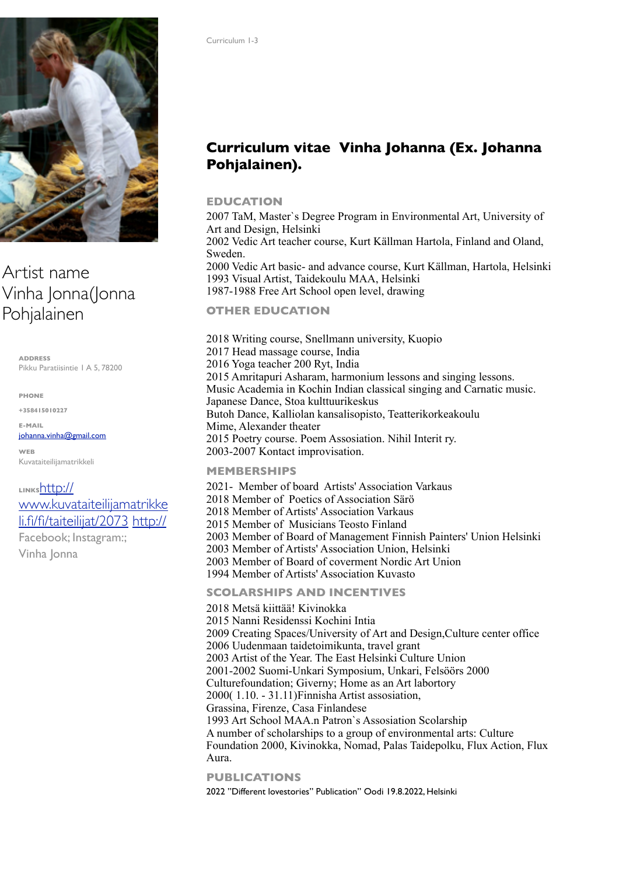

# Artist name Vinha Jonna(Jonna Pohjalainen

**ADDRESS** Pikku Paratiisintie 1 A 5, 78200

**PHONE** 

**+358415010227 E-MAIL**

[johanna.vinha@gmail.com](mailto:johanna.vinha@gmail.com) **WEB** Kuvataiteilijamatrikkeli

**LINKS**[http://](http://www.kuvataiteilijamatrikkeli.fi/fi/taiteilijat/2073) [www.kuvataiteilijamatrikke](http://www.kuvataiteilijamatrikkeli.fi/fi/taiteilijat/2073) [li.fi/fi/taiteilijat/2073](http://www.kuvataiteilijamatrikkeli.fi/fi/taiteilijat/2073) [http://](http://www.environmentalart.net/jonna_pohjalainen.htm) Facebook; Instagram:;

Vinha Jonna

## **Curriculum vitae Vinha Johanna (Ex. Johanna Pohjalainen).**

#### **EDUCATION**

2007 TaM, Master`s Degree Program in Environmental Art, University of Art and Design, Helsinki 2002 Vedic Art teacher course, Kurt Källman Hartola, Finland and Oland, Sweden. 2000 Vedic Art basic- and advance course, Kurt Källman, Hartola, Helsinki 1993 Visual Artist, Taidekoulu MAA, Helsinki 1987-1988 Free Art School open level, drawing

#### **OTHER EDUCATION**

2018 Writing course, Snellmann university, Kuopio 2017 Head massage course, India 2016 Yoga teacher 200 Ryt, India 2015 Amritapuri Asharam, harmonium lessons and singing lessons. Music Academia in Kochin Indian classical singing and Carnatic music. Japanese Dance, Stoa kulttuurikeskus Butoh Dance, Kalliolan kansalisopisto, Teatterikorkeakoulu Mime, Alexander theater 2015 Poetry course. Poem Assosiation. Nihil Interit ry. 2003-2007 Kontact improvisation.

#### **MEMBERSHIPS**

2021- Member of board Artists' Association Varkaus 2018 Member of Poetics of Association Särö 2018 Member of Artists' Association Varkaus 2015 Member of Musicians Teosto Finland 2003 Member of Board of Management Finnish Painters' Union Helsinki 2003 Member of Artists' Association Union, Helsinki 2003 Member of Board of coverment Nordic Art Union 1994 Member of Artists' Association Kuvasto **SCOLARSHIPS AND INCENTIVES**

2018 Metsä kiittää! Kivinokka 2015 Nanni Residenssi Kochini Intia 2009 Creating Spaces/University of Art and Design,Culture center office 2006 Uudenmaan taidetoimikunta, travel grant 2003 Artist of the Year. The East Helsinki Culture Union 2001-2002 Suomi-Unkari Symposium, Unkari, Felsöörs 2000 Culturefoundation; Giverny; Home as an Art labortory 2000( 1.10. - 31.11)Finnisha Artist assosiation, Grassina, Firenze, Casa Finlandese 1993 Art School MAA.n Patron`s Assosiation Scolarship A number of scholarships to a group of environmental arts: Culture Foundation 2000, Kivinokka, Nomad, Palas Taidepolku, Flux Action, Flux Aura.

#### **PUBLICATIONS**

2022 "Different lovestories" Publication" Oodi 19.8.2022, Helsinki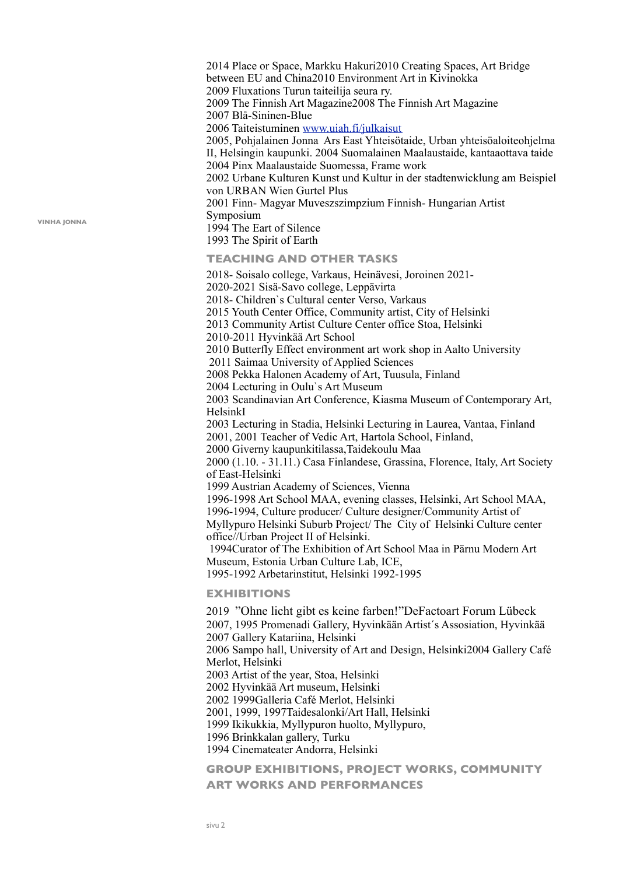2014 Place or Space, Markku Hakuri2010 Creating Spaces, Art Bridge between EU and China2010 Environment Art in Kivinokka 2009 Fluxations Turun taiteilija seura ry. 2009 The Finnish Art Magazine2008 The Finnish Art Magazine 2007 Blå-Sininen-Blue 2006 Taiteistuminen [www.uiah.fi/julkaisut](http://www.uiah.fi/julkaisut) 2005, Pohjalainen Jonna Ars East Yhteisötaide, Urban yhteisöaloiteohjelma II, Helsingin kaupunki. 2004 Suomalainen Maalaustaide, kantaaottava taide 2004 Pinx Maalaustaide Suomessa, Frame work 2002 Urbane Kulturen Kunst und Kultur in der stadtenwicklung am Beispiel von URBAN Wien Gurtel Plus

2001 Finn- Magyar Muveszszimpzium Finnish- Hungarian Artist Symposium 1994 The Eart of Silence

1993 The Spirit of Earth

#### **TEACHING AND OTHER TASKS**

2018- Soisalo college, Varkaus, Heinävesi, Joroinen 2021- 2020-2021 Sisä-Savo college, Leppävirta 2018- Children`s Cultural center Verso, Varkaus 2015 Youth Center Office, Community artist, City of Helsinki 2013 Community Artist Culture Center office Stoa, Helsinki 2010-2011 Hyvinkää Art School 2010 Butterfly Effect environment art work shop in Aalto University 2011 Saimaa University of Applied Sciences 2008 Pekka Halonen Academy of Art, Tuusula, Finland 2004 Lecturing in Oulu`s Art Museum 2003 Scandinavian Art Conference, Kiasma Museum of Contemporary Art, HelsinkI

2003 Lecturing in Stadia, Helsinki Lecturing in Laurea, Vantaa, Finland 2001, 2001 Teacher of Vedic Art, Hartola School, Finland,

2000 Giverny kaupunkitilassa,Taidekoulu Maa

2000 (1.10. - 31.11.) Casa Finlandese, Grassina, Florence, Italy, Art Society of East-Helsinki

1999 Austrian Academy of Sciences, Vienna

1996-1998 Art School MAA, evening classes, Helsinki, Art School MAA, 1996-1994, Culture producer/ Culture designer/Community Artist of

Myllypuro Helsinki Suburb Project/ The City of Helsinki Culture center office//Urban Project II of Helsinki.

 1994Curator of The Exhibition of Art School Maa in Pärnu Modern Art Museum, Estonia Urban Culture Lab, ICE,

1995-1992 Arbetarinstitut, Helsinki 1992-1995

**EXHIBITIONS**

2019 "Ohne licht gibt es keine farben!"DeFactoart Forum Lübeck 2007, 1995 Promenadi Gallery, Hyvinkään Artist´s Assosiation, Hyvinkää 2007 Gallery Katariina, Helsinki 2006 Sampo hall, University of Art and Design, Helsinki2004 Gallery Café Merlot, Helsinki

2003 Artist of the year, Stoa, Helsinki

2002 Hyvinkää Art museum, Helsinki

2002 1999Galleria Café Merlot, Helsinki

2001, 1999, 1997Taidesalonki/Art Hall, Helsinki

1999 Ikikukkia, Myllypuron huolto, Myllypuro,

1996 Brinkkalan gallery, Turku

1994 Cinemateater Andorra, Helsinki

### **GROUP EXHIBITIONS, PROJECT WORKS, COMMUNITY ART WORKS AND PERFORMANCES**

**VINHA JONNA**